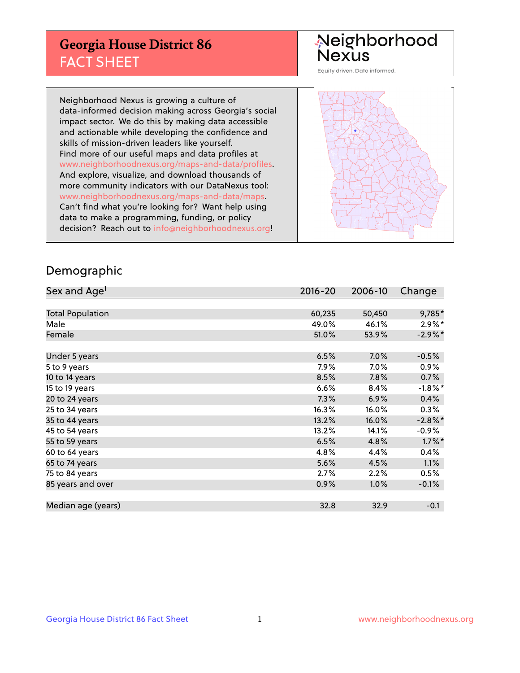## **Georgia House District 86** FACT SHEET

# Neighborhood<br>Nexus

Equity driven. Data informed.

Neighborhood Nexus is growing a culture of data-informed decision making across Georgia's social impact sector. We do this by making data accessible and actionable while developing the confidence and skills of mission-driven leaders like yourself. Find more of our useful maps and data profiles at www.neighborhoodnexus.org/maps-and-data/profiles. And explore, visualize, and download thousands of more community indicators with our DataNexus tool: www.neighborhoodnexus.org/maps-and-data/maps. Can't find what you're looking for? Want help using data to make a programming, funding, or policy decision? Reach out to [info@neighborhoodnexus.org!](mailto:info@neighborhoodnexus.org)



### Demographic

| Sex and Age <sup>1</sup> | $2016 - 20$ | 2006-10 | Change     |
|--------------------------|-------------|---------|------------|
|                          |             |         |            |
| <b>Total Population</b>  | 60,235      | 50,450  | 9,785*     |
| Male                     | 49.0%       | 46.1%   | $2.9\%*$   |
| Female                   | 51.0%       | 53.9%   | $-2.9\%*$  |
|                          |             |         |            |
| Under 5 years            | 6.5%        | $7.0\%$ | $-0.5%$    |
| 5 to 9 years             | 7.9%        | $7.0\%$ | $0.9\%$    |
| 10 to 14 years           | 8.5%        | 7.8%    | 0.7%       |
| 15 to 19 years           | 6.6%        | 8.4%    | $-1.8\%$ * |
| 20 to 24 years           | 7.3%        | 6.9%    | 0.4%       |
| 25 to 34 years           | 16.3%       | 16.0%   | $0.3\%$    |
| 35 to 44 years           | 13.2%       | 16.0%   | $-2.8\%$ * |
| 45 to 54 years           | 13.2%       | 14.1%   | $-0.9\%$   |
| 55 to 59 years           | 6.5%        | 4.8%    | $1.7\%$ *  |
| 60 to 64 years           | 4.8%        | 4.4%    | 0.4%       |
| 65 to 74 years           | 5.6%        | 4.5%    | 1.1%       |
| 75 to 84 years           | 2.7%        | 2.2%    | 0.5%       |
| 85 years and over        | 0.9%        | 1.0%    | $-0.1%$    |
|                          |             |         |            |
| Median age (years)       | 32.8        | 32.9    | $-0.1$     |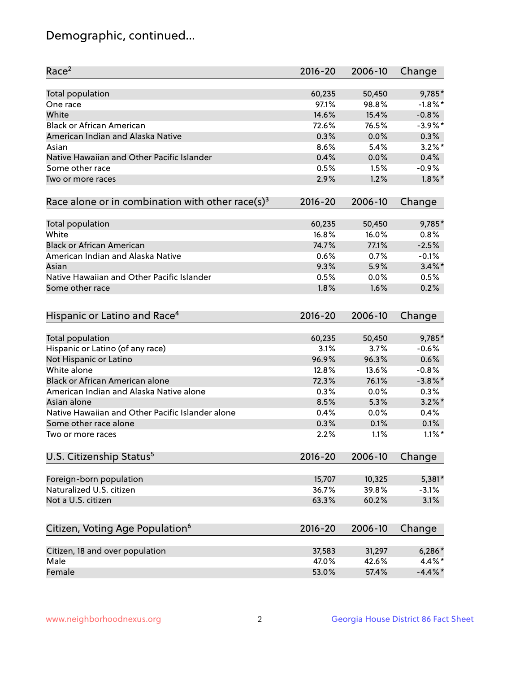## Demographic, continued...

| Race <sup>2</sup>                                            | $2016 - 20$  | 2006-10      | Change       |
|--------------------------------------------------------------|--------------|--------------|--------------|
| <b>Total population</b>                                      | 60,235       | 50,450       | 9,785*       |
| One race                                                     | 97.1%        | 98.8%        | $-1.8\%$ *   |
| White                                                        | 14.6%        | 15.4%        | $-0.8%$      |
| <b>Black or African American</b>                             | 72.6%        | 76.5%        | $-3.9\%$ *   |
| American Indian and Alaska Native                            | 0.3%         | 0.0%         | 0.3%         |
| Asian                                                        | 8.6%         | 5.4%         | $3.2\%$ *    |
| Native Hawaiian and Other Pacific Islander                   | 0.4%         | 0.0%         | 0.4%         |
| Some other race                                              | 0.5%         | 1.5%         | $-0.9%$      |
| Two or more races                                            | 2.9%         | 1.2%         | $1.8\%$ *    |
| Race alone or in combination with other race(s) <sup>3</sup> | $2016 - 20$  | 2006-10      | Change       |
| Total population                                             | 60,235       | 50,450       | 9,785*       |
| White                                                        | 16.8%        | 16.0%        | 0.8%         |
| <b>Black or African American</b>                             | 74.7%        | 77.1%        | $-2.5%$      |
| American Indian and Alaska Native                            | 0.6%         | 0.7%         | $-0.1%$      |
| Asian                                                        | 9.3%         | 5.9%         | $3.4\%$ *    |
|                                                              |              |              |              |
| Native Hawaiian and Other Pacific Islander                   | 0.5%         | 0.0%         | 0.5%         |
| Some other race                                              | 1.8%         | 1.6%         | 0.2%         |
| Hispanic or Latino and Race <sup>4</sup>                     | $2016 - 20$  | 2006-10      | Change       |
| <b>Total population</b>                                      | 60,235       | 50,450       | 9,785*       |
| Hispanic or Latino (of any race)                             | 3.1%         | 3.7%         | $-0.6%$      |
| Not Hispanic or Latino                                       | 96.9%        | 96.3%        | 0.6%         |
| White alone                                                  | 12.8%        | 13.6%        | $-0.8%$      |
| Black or African American alone                              | 72.3%        | 76.1%        | $-3.8\%$ *   |
| American Indian and Alaska Native alone                      | 0.3%         | 0.0%         | 0.3%         |
| Asian alone                                                  | 8.5%         | 5.3%         | $3.2\%$ *    |
| Native Hawaiian and Other Pacific Islander alone             |              |              |              |
|                                                              | 0.4%         | 0.0%         | 0.4%<br>0.1% |
| Some other race alone<br>Two or more races                   | 0.3%<br>2.2% | 0.1%<br>1.1% | $1.1\%$ *    |
|                                                              |              |              |              |
| U.S. Citizenship Status <sup>5</sup>                         | $2016 - 20$  | 2006-10      | Change       |
| Foreign-born population                                      | 15,707       | 10,325       | 5,381*       |
| Naturalized U.S. citizen                                     | 36.7%        | 39.8%        | $-3.1%$      |
| Not a U.S. citizen                                           | 63.3%        | 60.2%        | 3.1%         |
| Citizen, Voting Age Population <sup>6</sup>                  | $2016 - 20$  | 2006-10      | Change       |
| Citizen, 18 and over population                              | 37,583       | 31,297       | $6,286*$     |
| Male                                                         | 47.0%        | 42.6%        | 4.4%*        |
| Female                                                       | 53.0%        | 57.4%        | $-4.4\%$ *   |
|                                                              |              |              |              |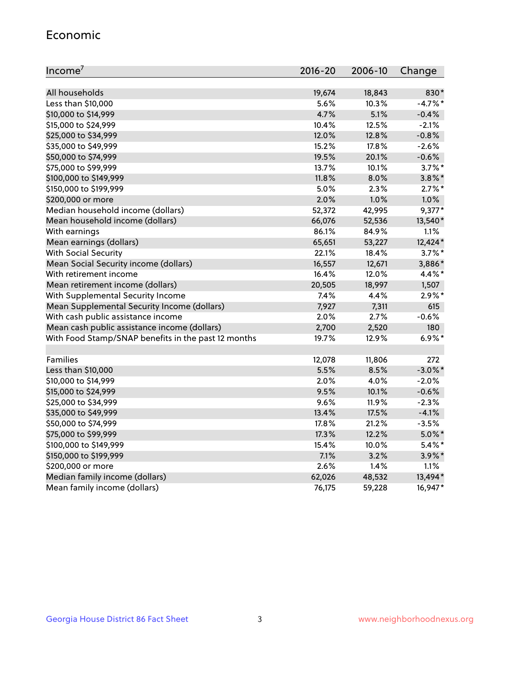#### Economic

| Income <sup>7</sup>                                 | $2016 - 20$ | 2006-10 | Change     |
|-----------------------------------------------------|-------------|---------|------------|
|                                                     |             |         |            |
| All households                                      | 19,674      | 18,843  | 830*       |
| Less than \$10,000                                  | 5.6%        | 10.3%   | $-4.7%$ *  |
| \$10,000 to \$14,999                                | 4.7%        | 5.1%    | $-0.4%$    |
| \$15,000 to \$24,999                                | 10.4%       | 12.5%   | $-2.1%$    |
| \$25,000 to \$34,999                                | 12.0%       | 12.8%   | $-0.8%$    |
| \$35,000 to \$49,999                                | 15.2%       | 17.8%   | $-2.6%$    |
| \$50,000 to \$74,999                                | 19.5%       | 20.1%   | $-0.6%$    |
| \$75,000 to \$99,999                                | 13.7%       | 10.1%   | $3.7\%$ *  |
| \$100,000 to \$149,999                              | 11.8%       | 8.0%    | $3.8\%$ *  |
| \$150,000 to \$199,999                              | 5.0%        | 2.3%    | $2.7\%$ *  |
| \$200,000 or more                                   | 2.0%        | 1.0%    | 1.0%       |
| Median household income (dollars)                   | 52,372      | 42,995  | $9,377*$   |
| Mean household income (dollars)                     | 66,076      | 52,536  | 13,540*    |
| With earnings                                       | 86.1%       | 84.9%   | 1.1%       |
| Mean earnings (dollars)                             | 65,651      | 53,227  | 12,424*    |
| <b>With Social Security</b>                         | 22.1%       | 18.4%   | $3.7\%$ *  |
| Mean Social Security income (dollars)               | 16,557      | 12,671  | 3,886*     |
| With retirement income                              | 16.4%       | 12.0%   | 4.4%*      |
| Mean retirement income (dollars)                    | 20,505      | 18,997  | 1,507      |
| With Supplemental Security Income                   | 7.4%        | 4.4%    | $2.9\%$ *  |
| Mean Supplemental Security Income (dollars)         | 7,927       | 7,311   | 615        |
| With cash public assistance income                  | 2.0%        | 2.7%    | $-0.6%$    |
| Mean cash public assistance income (dollars)        | 2,700       | 2,520   | 180        |
| With Food Stamp/SNAP benefits in the past 12 months | 19.7%       | 12.9%   | $6.9\%$ *  |
|                                                     |             |         |            |
| Families                                            | 12,078      | 11,806  | 272        |
| Less than \$10,000                                  | 5.5%        | 8.5%    | $-3.0\%$ * |
| \$10,000 to \$14,999                                | 2.0%        | 4.0%    | $-2.0%$    |
| \$15,000 to \$24,999                                | 9.5%        | 10.1%   | $-0.6%$    |
| \$25,000 to \$34,999                                | 9.6%        | 11.9%   | $-2.3%$    |
| \$35,000 to \$49,999                                | 13.4%       | 17.5%   | $-4.1%$    |
| \$50,000 to \$74,999                                | 17.8%       | 21.2%   | $-3.5%$    |
| \$75,000 to \$99,999                                | 17.3%       | 12.2%   | $5.0\%$ *  |
| \$100,000 to \$149,999                              | 15.4%       | 10.0%   | $5.4\%$ *  |
| \$150,000 to \$199,999                              | 7.1%        | 3.2%    | $3.9\%$ *  |
| \$200,000 or more                                   | 2.6%        | 1.4%    | 1.1%       |
| Median family income (dollars)                      | 62,026      | 48,532  | 13,494*    |
| Mean family income (dollars)                        | 76,175      | 59,228  | 16,947*    |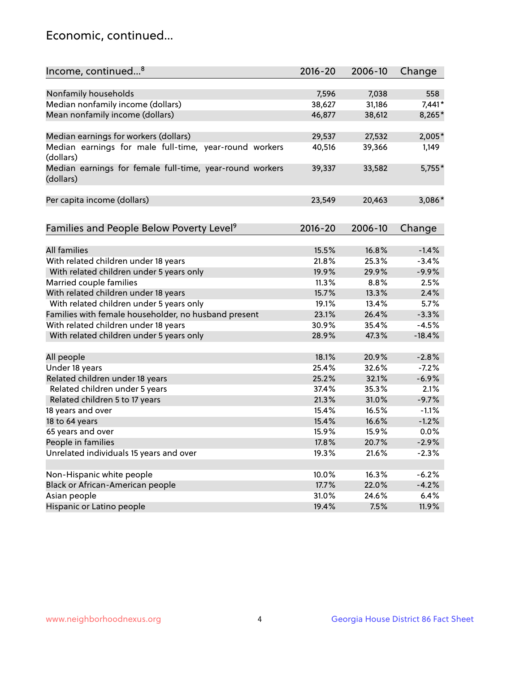## Economic, continued...

| Income, continued <sup>8</sup>                                        | $2016 - 20$ | 2006-10 | Change   |
|-----------------------------------------------------------------------|-------------|---------|----------|
|                                                                       |             |         |          |
| Nonfamily households                                                  | 7,596       | 7,038   | 558      |
| Median nonfamily income (dollars)                                     | 38,627      | 31,186  | 7,441*   |
| Mean nonfamily income (dollars)                                       | 46,877      | 38,612  | 8,265*   |
| Median earnings for workers (dollars)                                 | 29,537      | 27,532  | 2,005*   |
| Median earnings for male full-time, year-round workers                | 40,516      | 39,366  | 1,149    |
| (dollars)                                                             |             |         |          |
| Median earnings for female full-time, year-round workers<br>(dollars) | 39,337      | 33,582  | 5,755*   |
| Per capita income (dollars)                                           | 23,549      | 20,463  | 3,086*   |
|                                                                       |             |         |          |
| Families and People Below Poverty Level <sup>9</sup>                  | $2016 - 20$ | 2006-10 | Change   |
|                                                                       |             |         |          |
| <b>All families</b>                                                   | 15.5%       | 16.8%   | $-1.4%$  |
| With related children under 18 years                                  | 21.8%       | 25.3%   | $-3.4%$  |
| With related children under 5 years only                              | 19.9%       | 29.9%   | $-9.9%$  |
| Married couple families                                               | 11.3%       | 8.8%    | 2.5%     |
| With related children under 18 years                                  | 15.7%       | 13.3%   | 2.4%     |
| With related children under 5 years only                              | 19.1%       | 13.4%   | 5.7%     |
| Families with female householder, no husband present                  | 23.1%       | 26.4%   | $-3.3%$  |
| With related children under 18 years                                  | 30.9%       | 35.4%   | $-4.5%$  |
| With related children under 5 years only                              | 28.9%       | 47.3%   | $-18.4%$ |
| All people                                                            | 18.1%       | 20.9%   | $-2.8%$  |
| Under 18 years                                                        | 25.4%       | 32.6%   | $-7.2%$  |
| Related children under 18 years                                       | 25.2%       | 32.1%   | $-6.9%$  |
| Related children under 5 years                                        | 37.4%       | 35.3%   | 2.1%     |
| Related children 5 to 17 years                                        | 21.3%       | 31.0%   | $-9.7%$  |
| 18 years and over                                                     | 15.4%       | 16.5%   | $-1.1%$  |
| 18 to 64 years                                                        | 15.4%       | 16.6%   | $-1.2%$  |
| 65 years and over                                                     | 15.9%       | 15.9%   | 0.0%     |
| People in families                                                    | 17.8%       | 20.7%   | $-2.9%$  |
| Unrelated individuals 15 years and over                               | 19.3%       | 21.6%   | $-2.3%$  |
|                                                                       |             |         |          |
| Non-Hispanic white people                                             | 10.0%       | 16.3%   | $-6.2%$  |
| Black or African-American people                                      | 17.7%       | 22.0%   | $-4.2%$  |
| Asian people                                                          | 31.0%       | 24.6%   | 6.4%     |
| Hispanic or Latino people                                             | 19.4%       | 7.5%    | 11.9%    |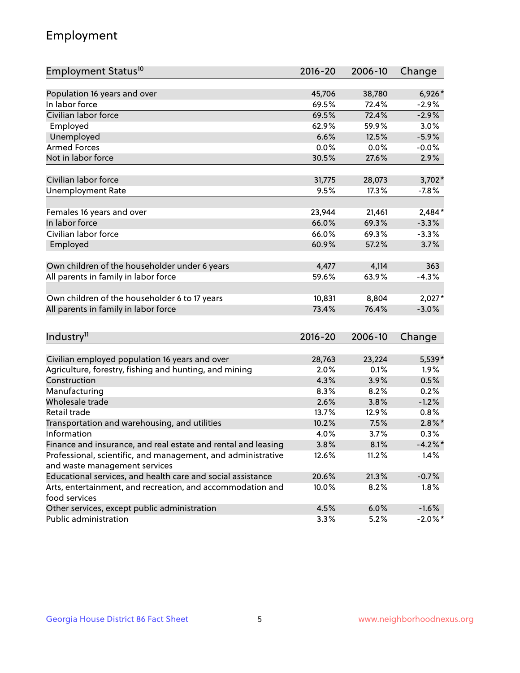## Employment

| Employment Status <sup>10</sup>                                             | $2016 - 20$ | 2006-10 | Change     |
|-----------------------------------------------------------------------------|-------------|---------|------------|
|                                                                             |             |         |            |
| Population 16 years and over                                                | 45,706      | 38,780  | 6,926*     |
| In labor force                                                              | 69.5%       | 72.4%   | $-2.9%$    |
| Civilian labor force                                                        | 69.5%       | 72.4%   | $-2.9%$    |
| Employed                                                                    | 62.9%       | 59.9%   | 3.0%       |
| Unemployed                                                                  | 6.6%        | 12.5%   | $-5.9%$    |
| <b>Armed Forces</b>                                                         | 0.0%        | 0.0%    | $-0.0%$    |
| Not in labor force                                                          | 30.5%       | 27.6%   | 2.9%       |
| Civilian labor force                                                        |             |         |            |
|                                                                             | 31,775      | 28,073  | $3,702*$   |
| <b>Unemployment Rate</b>                                                    | 9.5%        | 17.3%   | $-7.8%$    |
| Females 16 years and over                                                   | 23,944      | 21,461  | $2,484*$   |
| In labor force                                                              | 66.0%       | 69.3%   | $-3.3%$    |
| Civilian labor force                                                        | 66.0%       | 69.3%   | $-3.3%$    |
| Employed                                                                    | 60.9%       | 57.2%   | 3.7%       |
|                                                                             |             |         |            |
| Own children of the householder under 6 years                               | 4,477       | 4,114   | 363        |
| All parents in family in labor force                                        | 59.6%       | 63.9%   | $-4.3%$    |
| Own children of the householder 6 to 17 years                               | 10,831      | 8,804   | $2,027*$   |
| All parents in family in labor force                                        | 73.4%       | 76.4%   | $-3.0%$    |
|                                                                             |             |         |            |
| Industry <sup>11</sup>                                                      | $2016 - 20$ | 2006-10 | Change     |
|                                                                             |             |         |            |
| Civilian employed population 16 years and over                              | 28,763      | 23,224  | 5,539*     |
| Agriculture, forestry, fishing and hunting, and mining                      | 2.0%        | 0.1%    | 1.9%       |
| Construction                                                                | 4.3%        | 3.9%    | 0.5%       |
| Manufacturing                                                               | 8.3%        | 8.2%    | 0.2%       |
| Wholesale trade                                                             | 2.6%        | 3.8%    | $-1.2%$    |
| Retail trade                                                                | 13.7%       | 12.9%   | 0.8%       |
| Transportation and warehousing, and utilities                               | 10.2%       | 7.5%    | $2.8\%$ *  |
| Information                                                                 | 4.0%        | 3.7%    | 0.3%       |
| Finance and insurance, and real estate and rental and leasing               | 3.8%        | 8.1%    | $-4.2\%$ * |
| Professional, scientific, and management, and administrative                | 12.6%       | 11.2%   | 1.4%       |
| and waste management services                                               |             |         |            |
| Educational services, and health care and social assistance                 | 20.6%       | 21.3%   | $-0.7%$    |
| Arts, entertainment, and recreation, and accommodation and<br>food services | 10.0%       | 8.2%    | 1.8%       |
| Other services, except public administration                                | 4.5%        | 6.0%    | $-1.6%$    |
| Public administration                                                       | 3.3%        | 5.2%    | $-2.0\%$ * |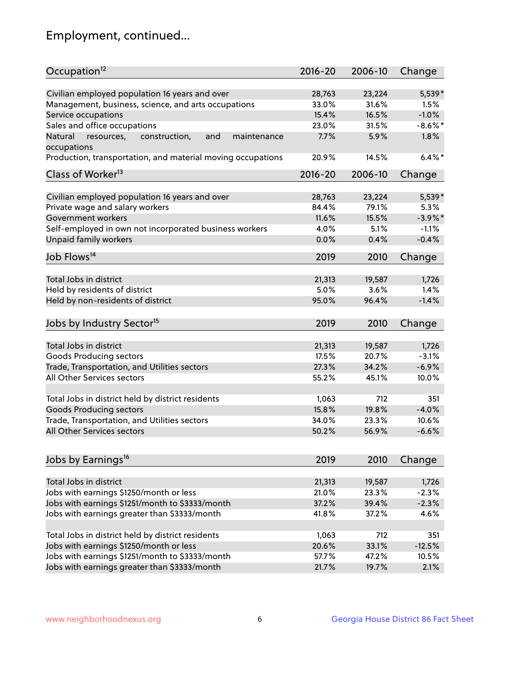## Employment, continued...

| Occupation <sup>12</sup>                                                                                                                                                                                                                                                                                                                                                                                                                                                                                                                                                                                                                                                                                                                                                                                                                      | $2016 - 20$                                                                                                                                                                      | 2006-10                                                                                                                                                                 | Change                                          |
|-----------------------------------------------------------------------------------------------------------------------------------------------------------------------------------------------------------------------------------------------------------------------------------------------------------------------------------------------------------------------------------------------------------------------------------------------------------------------------------------------------------------------------------------------------------------------------------------------------------------------------------------------------------------------------------------------------------------------------------------------------------------------------------------------------------------------------------------------|----------------------------------------------------------------------------------------------------------------------------------------------------------------------------------|-------------------------------------------------------------------------------------------------------------------------------------------------------------------------|-------------------------------------------------|
| Civilian employed population 16 years and over                                                                                                                                                                                                                                                                                                                                                                                                                                                                                                                                                                                                                                                                                                                                                                                                | 28,763                                                                                                                                                                           | 23,224                                                                                                                                                                  | 5,539*                                          |
| Management, business, science, and arts occupations                                                                                                                                                                                                                                                                                                                                                                                                                                                                                                                                                                                                                                                                                                                                                                                           | 33.0%                                                                                                                                                                            | 31.6%                                                                                                                                                                   | 1.5%                                            |
| Service occupations                                                                                                                                                                                                                                                                                                                                                                                                                                                                                                                                                                                                                                                                                                                                                                                                                           | 15.4%                                                                                                                                                                            | 16.5%                                                                                                                                                                   | $-1.0%$                                         |
| Sales and office occupations                                                                                                                                                                                                                                                                                                                                                                                                                                                                                                                                                                                                                                                                                                                                                                                                                  | 23.0%                                                                                                                                                                            | 31.5%                                                                                                                                                                   | $-8.6\%$ *                                      |
| Natural<br>and<br>resources,<br>construction,<br>maintenance                                                                                                                                                                                                                                                                                                                                                                                                                                                                                                                                                                                                                                                                                                                                                                                  | 7.7%                                                                                                                                                                             | 5.9%                                                                                                                                                                    | 1.8%                                            |
| occupations                                                                                                                                                                                                                                                                                                                                                                                                                                                                                                                                                                                                                                                                                                                                                                                                                                   |                                                                                                                                                                                  |                                                                                                                                                                         |                                                 |
| Production, transportation, and material moving occupations                                                                                                                                                                                                                                                                                                                                                                                                                                                                                                                                                                                                                                                                                                                                                                                   | 20.9%                                                                                                                                                                            | 14.5%                                                                                                                                                                   | $6.4\%$ *                                       |
| Class of Worker <sup>13</sup>                                                                                                                                                                                                                                                                                                                                                                                                                                                                                                                                                                                                                                                                                                                                                                                                                 | $2016 - 20$                                                                                                                                                                      | 2006-10                                                                                                                                                                 | Change                                          |
|                                                                                                                                                                                                                                                                                                                                                                                                                                                                                                                                                                                                                                                                                                                                                                                                                                               |                                                                                                                                                                                  |                                                                                                                                                                         |                                                 |
| Civilian employed population 16 years and over                                                                                                                                                                                                                                                                                                                                                                                                                                                                                                                                                                                                                                                                                                                                                                                                | 28,763                                                                                                                                                                           | 23,224                                                                                                                                                                  | 5,539*                                          |
|                                                                                                                                                                                                                                                                                                                                                                                                                                                                                                                                                                                                                                                                                                                                                                                                                                               |                                                                                                                                                                                  |                                                                                                                                                                         | 5.3%                                            |
|                                                                                                                                                                                                                                                                                                                                                                                                                                                                                                                                                                                                                                                                                                                                                                                                                                               |                                                                                                                                                                                  |                                                                                                                                                                         | $-3.9\%$ *                                      |
|                                                                                                                                                                                                                                                                                                                                                                                                                                                                                                                                                                                                                                                                                                                                                                                                                                               |                                                                                                                                                                                  |                                                                                                                                                                         | $-1.1%$                                         |
|                                                                                                                                                                                                                                                                                                                                                                                                                                                                                                                                                                                                                                                                                                                                                                                                                                               |                                                                                                                                                                                  |                                                                                                                                                                         | $-0.4%$                                         |
| Job Flows <sup>14</sup>                                                                                                                                                                                                                                                                                                                                                                                                                                                                                                                                                                                                                                                                                                                                                                                                                       | 2019                                                                                                                                                                             | 2010                                                                                                                                                                    | Change                                          |
|                                                                                                                                                                                                                                                                                                                                                                                                                                                                                                                                                                                                                                                                                                                                                                                                                                               |                                                                                                                                                                                  |                                                                                                                                                                         |                                                 |
|                                                                                                                                                                                                                                                                                                                                                                                                                                                                                                                                                                                                                                                                                                                                                                                                                                               |                                                                                                                                                                                  |                                                                                                                                                                         | 1,726                                           |
|                                                                                                                                                                                                                                                                                                                                                                                                                                                                                                                                                                                                                                                                                                                                                                                                                                               |                                                                                                                                                                                  |                                                                                                                                                                         | 1.4%                                            |
|                                                                                                                                                                                                                                                                                                                                                                                                                                                                                                                                                                                                                                                                                                                                                                                                                                               |                                                                                                                                                                                  |                                                                                                                                                                         | $-1.4%$                                         |
| Jobs by Industry Sector <sup>15</sup>                                                                                                                                                                                                                                                                                                                                                                                                                                                                                                                                                                                                                                                                                                                                                                                                         | 2019                                                                                                                                                                             | 2010                                                                                                                                                                    | Change                                          |
|                                                                                                                                                                                                                                                                                                                                                                                                                                                                                                                                                                                                                                                                                                                                                                                                                                               |                                                                                                                                                                                  |                                                                                                                                                                         | 1,726                                           |
|                                                                                                                                                                                                                                                                                                                                                                                                                                                                                                                                                                                                                                                                                                                                                                                                                                               |                                                                                                                                                                                  |                                                                                                                                                                         | $-3.1%$                                         |
|                                                                                                                                                                                                                                                                                                                                                                                                                                                                                                                                                                                                                                                                                                                                                                                                                                               |                                                                                                                                                                                  |                                                                                                                                                                         |                                                 |
|                                                                                                                                                                                                                                                                                                                                                                                                                                                                                                                                                                                                                                                                                                                                                                                                                                               |                                                                                                                                                                                  |                                                                                                                                                                         |                                                 |
|                                                                                                                                                                                                                                                                                                                                                                                                                                                                                                                                                                                                                                                                                                                                                                                                                                               |                                                                                                                                                                                  |                                                                                                                                                                         |                                                 |
|                                                                                                                                                                                                                                                                                                                                                                                                                                                                                                                                                                                                                                                                                                                                                                                                                                               |                                                                                                                                                                                  | 712                                                                                                                                                                     | 351                                             |
|                                                                                                                                                                                                                                                                                                                                                                                                                                                                                                                                                                                                                                                                                                                                                                                                                                               |                                                                                                                                                                                  |                                                                                                                                                                         | $-4.0%$                                         |
|                                                                                                                                                                                                                                                                                                                                                                                                                                                                                                                                                                                                                                                                                                                                                                                                                                               |                                                                                                                                                                                  |                                                                                                                                                                         | 10.6%                                           |
| All Other Services sectors                                                                                                                                                                                                                                                                                                                                                                                                                                                                                                                                                                                                                                                                                                                                                                                                                    | 50.2%                                                                                                                                                                            | 56.9%                                                                                                                                                                   | $-6.6%$                                         |
|                                                                                                                                                                                                                                                                                                                                                                                                                                                                                                                                                                                                                                                                                                                                                                                                                                               |                                                                                                                                                                                  |                                                                                                                                                                         |                                                 |
| Jobs by Earnings <sup>16</sup>                                                                                                                                                                                                                                                                                                                                                                                                                                                                                                                                                                                                                                                                                                                                                                                                                | 2019                                                                                                                                                                             | 2010                                                                                                                                                                    | Change                                          |
|                                                                                                                                                                                                                                                                                                                                                                                                                                                                                                                                                                                                                                                                                                                                                                                                                                               |                                                                                                                                                                                  |                                                                                                                                                                         |                                                 |
|                                                                                                                                                                                                                                                                                                                                                                                                                                                                                                                                                                                                                                                                                                                                                                                                                                               |                                                                                                                                                                                  |                                                                                                                                                                         |                                                 |
|                                                                                                                                                                                                                                                                                                                                                                                                                                                                                                                                                                                                                                                                                                                                                                                                                                               |                                                                                                                                                                                  |                                                                                                                                                                         |                                                 |
|                                                                                                                                                                                                                                                                                                                                                                                                                                                                                                                                                                                                                                                                                                                                                                                                                                               |                                                                                                                                                                                  |                                                                                                                                                                         |                                                 |
|                                                                                                                                                                                                                                                                                                                                                                                                                                                                                                                                                                                                                                                                                                                                                                                                                                               |                                                                                                                                                                                  |                                                                                                                                                                         | 4.6%                                            |
|                                                                                                                                                                                                                                                                                                                                                                                                                                                                                                                                                                                                                                                                                                                                                                                                                                               | 1,063                                                                                                                                                                            | 712                                                                                                                                                                     | 351                                             |
|                                                                                                                                                                                                                                                                                                                                                                                                                                                                                                                                                                                                                                                                                                                                                                                                                                               |                                                                                                                                                                                  |                                                                                                                                                                         | $-12.5%$                                        |
|                                                                                                                                                                                                                                                                                                                                                                                                                                                                                                                                                                                                                                                                                                                                                                                                                                               |                                                                                                                                                                                  |                                                                                                                                                                         | 10.5%                                           |
| Jobs with earnings greater than \$3333/month                                                                                                                                                                                                                                                                                                                                                                                                                                                                                                                                                                                                                                                                                                                                                                                                  | 21.7%                                                                                                                                                                            | 19.7%                                                                                                                                                                   | 2.1%                                            |
| Private wage and salary workers<br>Government workers<br>Self-employed in own not incorporated business workers<br>Unpaid family workers<br>Total Jobs in district<br>Held by residents of district<br>Held by non-residents of district<br>Total Jobs in district<br>Goods Producing sectors<br>Trade, Transportation, and Utilities sectors<br>All Other Services sectors<br>Total Jobs in district held by district residents<br><b>Goods Producing sectors</b><br>Trade, Transportation, and Utilities sectors<br>Total Jobs in district<br>Jobs with earnings \$1250/month or less<br>Jobs with earnings \$1251/month to \$3333/month<br>Jobs with earnings greater than \$3333/month<br>Total Jobs in district held by district residents<br>Jobs with earnings \$1250/month or less<br>Jobs with earnings \$1251/month to \$3333/month | 84.4%<br>11.6%<br>4.0%<br>0.0%<br>21,313<br>5.0%<br>95.0%<br>21,313<br>17.5%<br>27.3%<br>55.2%<br>1,063<br>15.8%<br>34.0%<br>21,313<br>21.0%<br>37.2%<br>41.8%<br>20.6%<br>57.7% | 79.1%<br>15.5%<br>5.1%<br>0.4%<br>19,587<br>3.6%<br>96.4%<br>19,587<br>20.7%<br>34.2%<br>45.1%<br>19.8%<br>23.3%<br>19,587<br>23.3%<br>39.4%<br>37.2%<br>33.1%<br>47.2% | $-6.9%$<br>10.0%<br>1,726<br>$-2.3%$<br>$-2.3%$ |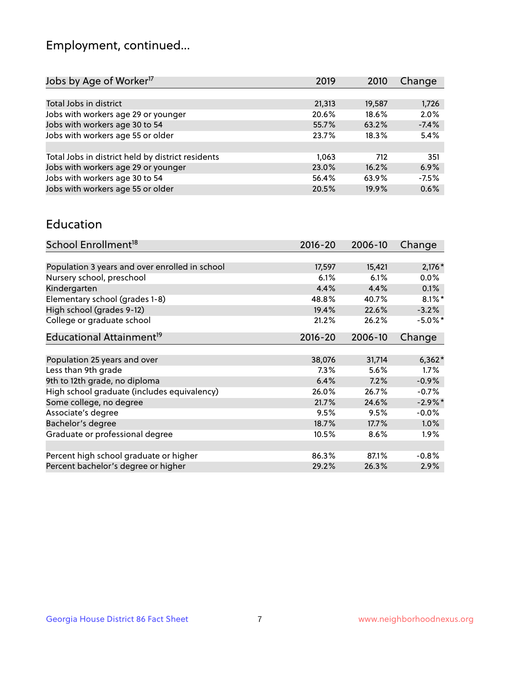## Employment, continued...

| Jobs by Age of Worker <sup>17</sup>               | 2019   | 2010   | Change  |
|---------------------------------------------------|--------|--------|---------|
|                                                   |        |        |         |
| Total Jobs in district                            | 21,313 | 19,587 | 1,726   |
| Jobs with workers age 29 or younger               | 20.6%  | 18.6%  | 2.0%    |
| Jobs with workers age 30 to 54                    | 55.7%  | 63.2%  | $-7.4%$ |
| Jobs with workers age 55 or older                 | 23.7%  | 18.3%  | 5.4%    |
|                                                   |        |        |         |
| Total Jobs in district held by district residents | 1,063  | 712    | 351     |
| Jobs with workers age 29 or younger               | 23.0%  | 16.2%  | 6.9%    |
| Jobs with workers age 30 to 54                    | 56.4%  | 63.9%  | $-7.5%$ |
| Jobs with workers age 55 or older                 | 20.5%  | 19.9%  | 0.6%    |
|                                                   |        |        |         |

#### Education

| School Enrollment <sup>18</sup>                | $2016 - 20$ | 2006-10 | Change     |
|------------------------------------------------|-------------|---------|------------|
|                                                |             |         |            |
| Population 3 years and over enrolled in school | 17,597      | 15,421  | $2,176*$   |
| Nursery school, preschool                      | 6.1%        | 6.1%    | $0.0\%$    |
| Kindergarten                                   | 4.4%        | 4.4%    | $0.1\%$    |
| Elementary school (grades 1-8)                 | 48.8%       | 40.7%   | $8.1\%$ *  |
| High school (grades 9-12)                      | 19.4%       | 22.6%   | $-3.2%$    |
| College or graduate school                     | 21.2%       | 26.2%   | $-5.0\%$ * |
| Educational Attainment <sup>19</sup>           | $2016 - 20$ | 2006-10 | Change     |
|                                                |             |         |            |
| Population 25 years and over                   | 38,076      | 31,714  | $6,362*$   |
| Less than 9th grade                            | 7.3%        | 5.6%    | 1.7%       |
| 9th to 12th grade, no diploma                  | 6.4%        | 7.2%    | $-0.9%$    |
| High school graduate (includes equivalency)    | 26.0%       | 26.7%   | $-0.7%$    |
| Some college, no degree                        | 21.7%       | 24.6%   | $-2.9\%$ * |
| Associate's degree                             | 9.5%        | 9.5%    | $-0.0%$    |
| Bachelor's degree                              | 18.7%       | 17.7%   | 1.0%       |
| Graduate or professional degree                | 10.5%       | 8.6%    | $1.9\%$    |
|                                                |             |         |            |
| Percent high school graduate or higher         | 86.3%       | 87.1%   | $-0.8%$    |
| Percent bachelor's degree or higher            | 29.2%       | 26.3%   | 2.9%       |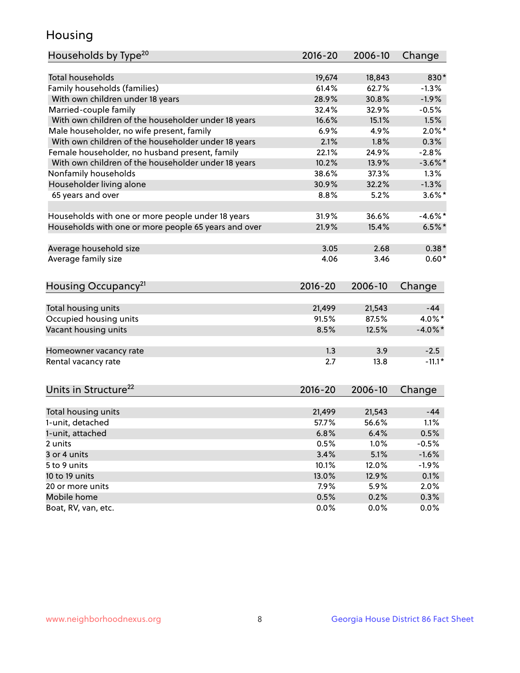## Housing

| <b>Total households</b><br>830*<br>19,674<br>18,843<br>Family households (families)<br>61.4%<br>62.7%<br>$-1.3%$<br>With own children under 18 years<br>28.9%<br>30.8%<br>$-1.9%$<br>Married-couple family<br>32.4%<br>32.9%<br>$-0.5%$<br>With own children of the householder under 18 years<br>16.6%<br>15.1%<br>1.5%<br>Male householder, no wife present, family<br>$2.0\%$ *<br>6.9%<br>4.9%<br>With own children of the householder under 18 years<br>2.1%<br>1.8%<br>0.3%<br>Female householder, no husband present, family<br>$-2.8%$<br>22.1%<br>24.9%<br>With own children of the householder under 18 years<br>10.2%<br>13.9%<br>Nonfamily households<br>38.6%<br>37.3%<br>1.3%<br>Householder living alone<br>$-1.3%$<br>30.9%<br>32.2%<br>65 years and over<br>8.8%<br>5.2%<br>31.9%<br>36.6%<br>Households with one or more people under 18 years<br>Households with one or more people 65 years and over<br>15.4%<br>21.9%<br>Average household size<br>3.05<br>2.68<br>Average family size<br>4.06<br>3.46<br>Housing Occupancy <sup>21</sup><br>$2016 - 20$<br>2006-10<br>Change<br>Total housing units<br>21,543<br>$-44$<br>21,499<br>Occupied housing units<br>91.5%<br>87.5%<br>4.0%*<br>Vacant housing units<br>$-4.0\%$ *<br>8.5%<br>12.5%<br>1.3<br>3.9<br>$-2.5$<br>Homeowner vacancy rate<br>$-11.1*$<br>Rental vacancy rate<br>2.7<br>13.8<br>Units in Structure <sup>22</sup><br>$2016 - 20$<br>2006-10<br>Change | Households by Type <sup>20</sup> | 2016-20 | 2006-10 | Change |
|------------------------------------------------------------------------------------------------------------------------------------------------------------------------------------------------------------------------------------------------------------------------------------------------------------------------------------------------------------------------------------------------------------------------------------------------------------------------------------------------------------------------------------------------------------------------------------------------------------------------------------------------------------------------------------------------------------------------------------------------------------------------------------------------------------------------------------------------------------------------------------------------------------------------------------------------------------------------------------------------------------------------------------------------------------------------------------------------------------------------------------------------------------------------------------------------------------------------------------------------------------------------------------------------------------------------------------------------------------------------------------------------------------------------------------------------|----------------------------------|---------|---------|--------|
|                                                                                                                                                                                                                                                                                                                                                                                                                                                                                                                                                                                                                                                                                                                                                                                                                                                                                                                                                                                                                                                                                                                                                                                                                                                                                                                                                                                                                                                |                                  |         |         |        |
| $-3.6\%$ *<br>$3.6\%$ *<br>$-4.6\%$ *<br>$6.5%$ *<br>$0.38*$<br>$0.60*$                                                                                                                                                                                                                                                                                                                                                                                                                                                                                                                                                                                                                                                                                                                                                                                                                                                                                                                                                                                                                                                                                                                                                                                                                                                                                                                                                                        |                                  |         |         |        |
|                                                                                                                                                                                                                                                                                                                                                                                                                                                                                                                                                                                                                                                                                                                                                                                                                                                                                                                                                                                                                                                                                                                                                                                                                                                                                                                                                                                                                                                |                                  |         |         |        |
|                                                                                                                                                                                                                                                                                                                                                                                                                                                                                                                                                                                                                                                                                                                                                                                                                                                                                                                                                                                                                                                                                                                                                                                                                                                                                                                                                                                                                                                |                                  |         |         |        |
|                                                                                                                                                                                                                                                                                                                                                                                                                                                                                                                                                                                                                                                                                                                                                                                                                                                                                                                                                                                                                                                                                                                                                                                                                                                                                                                                                                                                                                                |                                  |         |         |        |
|                                                                                                                                                                                                                                                                                                                                                                                                                                                                                                                                                                                                                                                                                                                                                                                                                                                                                                                                                                                                                                                                                                                                                                                                                                                                                                                                                                                                                                                |                                  |         |         |        |
|                                                                                                                                                                                                                                                                                                                                                                                                                                                                                                                                                                                                                                                                                                                                                                                                                                                                                                                                                                                                                                                                                                                                                                                                                                                                                                                                                                                                                                                |                                  |         |         |        |
|                                                                                                                                                                                                                                                                                                                                                                                                                                                                                                                                                                                                                                                                                                                                                                                                                                                                                                                                                                                                                                                                                                                                                                                                                                                                                                                                                                                                                                                |                                  |         |         |        |
|                                                                                                                                                                                                                                                                                                                                                                                                                                                                                                                                                                                                                                                                                                                                                                                                                                                                                                                                                                                                                                                                                                                                                                                                                                                                                                                                                                                                                                                |                                  |         |         |        |
|                                                                                                                                                                                                                                                                                                                                                                                                                                                                                                                                                                                                                                                                                                                                                                                                                                                                                                                                                                                                                                                                                                                                                                                                                                                                                                                                                                                                                                                |                                  |         |         |        |
|                                                                                                                                                                                                                                                                                                                                                                                                                                                                                                                                                                                                                                                                                                                                                                                                                                                                                                                                                                                                                                                                                                                                                                                                                                                                                                                                                                                                                                                |                                  |         |         |        |
|                                                                                                                                                                                                                                                                                                                                                                                                                                                                                                                                                                                                                                                                                                                                                                                                                                                                                                                                                                                                                                                                                                                                                                                                                                                                                                                                                                                                                                                |                                  |         |         |        |
|                                                                                                                                                                                                                                                                                                                                                                                                                                                                                                                                                                                                                                                                                                                                                                                                                                                                                                                                                                                                                                                                                                                                                                                                                                                                                                                                                                                                                                                |                                  |         |         |        |
|                                                                                                                                                                                                                                                                                                                                                                                                                                                                                                                                                                                                                                                                                                                                                                                                                                                                                                                                                                                                                                                                                                                                                                                                                                                                                                                                                                                                                                                |                                  |         |         |        |
|                                                                                                                                                                                                                                                                                                                                                                                                                                                                                                                                                                                                                                                                                                                                                                                                                                                                                                                                                                                                                                                                                                                                                                                                                                                                                                                                                                                                                                                |                                  |         |         |        |
|                                                                                                                                                                                                                                                                                                                                                                                                                                                                                                                                                                                                                                                                                                                                                                                                                                                                                                                                                                                                                                                                                                                                                                                                                                                                                                                                                                                                                                                |                                  |         |         |        |
|                                                                                                                                                                                                                                                                                                                                                                                                                                                                                                                                                                                                                                                                                                                                                                                                                                                                                                                                                                                                                                                                                                                                                                                                                                                                                                                                                                                                                                                |                                  |         |         |        |
|                                                                                                                                                                                                                                                                                                                                                                                                                                                                                                                                                                                                                                                                                                                                                                                                                                                                                                                                                                                                                                                                                                                                                                                                                                                                                                                                                                                                                                                |                                  |         |         |        |
|                                                                                                                                                                                                                                                                                                                                                                                                                                                                                                                                                                                                                                                                                                                                                                                                                                                                                                                                                                                                                                                                                                                                                                                                                                                                                                                                                                                                                                                |                                  |         |         |        |
|                                                                                                                                                                                                                                                                                                                                                                                                                                                                                                                                                                                                                                                                                                                                                                                                                                                                                                                                                                                                                                                                                                                                                                                                                                                                                                                                                                                                                                                |                                  |         |         |        |
|                                                                                                                                                                                                                                                                                                                                                                                                                                                                                                                                                                                                                                                                                                                                                                                                                                                                                                                                                                                                                                                                                                                                                                                                                                                                                                                                                                                                                                                |                                  |         |         |        |
|                                                                                                                                                                                                                                                                                                                                                                                                                                                                                                                                                                                                                                                                                                                                                                                                                                                                                                                                                                                                                                                                                                                                                                                                                                                                                                                                                                                                                                                |                                  |         |         |        |
|                                                                                                                                                                                                                                                                                                                                                                                                                                                                                                                                                                                                                                                                                                                                                                                                                                                                                                                                                                                                                                                                                                                                                                                                                                                                                                                                                                                                                                                |                                  |         |         |        |
|                                                                                                                                                                                                                                                                                                                                                                                                                                                                                                                                                                                                                                                                                                                                                                                                                                                                                                                                                                                                                                                                                                                                                                                                                                                                                                                                                                                                                                                |                                  |         |         |        |
|                                                                                                                                                                                                                                                                                                                                                                                                                                                                                                                                                                                                                                                                                                                                                                                                                                                                                                                                                                                                                                                                                                                                                                                                                                                                                                                                                                                                                                                |                                  |         |         |        |
|                                                                                                                                                                                                                                                                                                                                                                                                                                                                                                                                                                                                                                                                                                                                                                                                                                                                                                                                                                                                                                                                                                                                                                                                                                                                                                                                                                                                                                                |                                  |         |         |        |
| $-44$<br>Total housing units<br>21,499<br>21,543                                                                                                                                                                                                                                                                                                                                                                                                                                                                                                                                                                                                                                                                                                                                                                                                                                                                                                                                                                                                                                                                                                                                                                                                                                                                                                                                                                                               |                                  |         |         |        |
| 57.7%<br>56.6%<br>1.1%                                                                                                                                                                                                                                                                                                                                                                                                                                                                                                                                                                                                                                                                                                                                                                                                                                                                                                                                                                                                                                                                                                                                                                                                                                                                                                                                                                                                                         | 1-unit, detached                 |         |         |        |
| 6.8%<br>6.4%<br>0.5%                                                                                                                                                                                                                                                                                                                                                                                                                                                                                                                                                                                                                                                                                                                                                                                                                                                                                                                                                                                                                                                                                                                                                                                                                                                                                                                                                                                                                           | 1-unit, attached                 |         |         |        |
| 0.5%<br>1.0%<br>$-0.5%$                                                                                                                                                                                                                                                                                                                                                                                                                                                                                                                                                                                                                                                                                                                                                                                                                                                                                                                                                                                                                                                                                                                                                                                                                                                                                                                                                                                                                        | 2 units                          |         |         |        |
| 5.1%<br>3 or 4 units<br>3.4%<br>$-1.6%$                                                                                                                                                                                                                                                                                                                                                                                                                                                                                                                                                                                                                                                                                                                                                                                                                                                                                                                                                                                                                                                                                                                                                                                                                                                                                                                                                                                                        |                                  |         |         |        |
| 10.1%<br>12.0%<br>$-1.9%$                                                                                                                                                                                                                                                                                                                                                                                                                                                                                                                                                                                                                                                                                                                                                                                                                                                                                                                                                                                                                                                                                                                                                                                                                                                                                                                                                                                                                      | 5 to 9 units                     |         |         |        |
| 13.0%<br>12.9%<br>0.1%                                                                                                                                                                                                                                                                                                                                                                                                                                                                                                                                                                                                                                                                                                                                                                                                                                                                                                                                                                                                                                                                                                                                                                                                                                                                                                                                                                                                                         | 10 to 19 units                   |         |         |        |
| 2.0%<br>20 or more units<br>$7.9\%$<br>5.9%                                                                                                                                                                                                                                                                                                                                                                                                                                                                                                                                                                                                                                                                                                                                                                                                                                                                                                                                                                                                                                                                                                                                                                                                                                                                                                                                                                                                    |                                  |         |         |        |
| 0.5%<br>0.2%<br>0.3%                                                                                                                                                                                                                                                                                                                                                                                                                                                                                                                                                                                                                                                                                                                                                                                                                                                                                                                                                                                                                                                                                                                                                                                                                                                                                                                                                                                                                           | Mobile home                      |         |         |        |
| Boat, RV, van, etc.<br>0.0%<br>0.0%<br>0.0%                                                                                                                                                                                                                                                                                                                                                                                                                                                                                                                                                                                                                                                                                                                                                                                                                                                                                                                                                                                                                                                                                                                                                                                                                                                                                                                                                                                                    |                                  |         |         |        |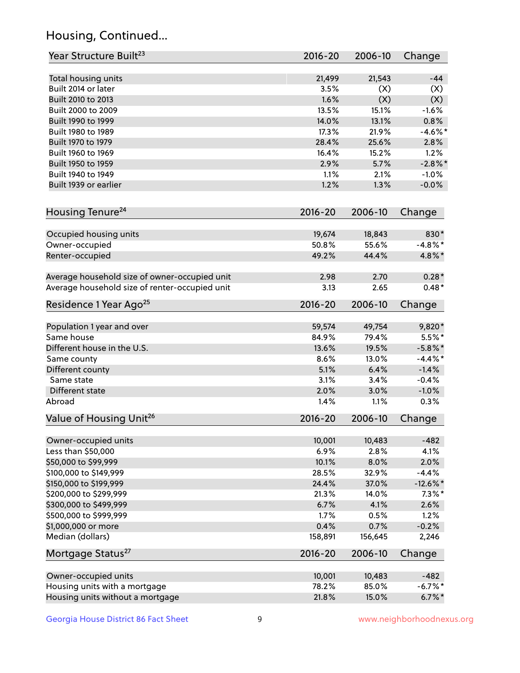## Housing, Continued...

| Year Structure Built <sup>23</sup>             | 2016-20     | 2006-10 | Change      |
|------------------------------------------------|-------------|---------|-------------|
| Total housing units                            | 21,499      | 21,543  | $-44$       |
| Built 2014 or later                            | 3.5%        | (X)     | (X)         |
| Built 2010 to 2013                             | 1.6%        | (X)     | (X)         |
| Built 2000 to 2009                             | 13.5%       | 15.1%   | $-1.6%$     |
| Built 1990 to 1999                             | 14.0%       | 13.1%   | 0.8%        |
| Built 1980 to 1989                             | 17.3%       | 21.9%   | $-4.6\%$ *  |
| Built 1970 to 1979                             | 28.4%       | 25.6%   | 2.8%        |
| Built 1960 to 1969                             | 16.4%       | 15.2%   | 1.2%        |
| Built 1950 to 1959                             | 2.9%        | 5.7%    | $-2.8\%$ *  |
| Built 1940 to 1949                             | 1.1%        | 2.1%    | $-1.0%$     |
| Built 1939 or earlier                          | 1.2%        | 1.3%    | $-0.0%$     |
| Housing Tenure <sup>24</sup>                   | $2016 - 20$ | 2006-10 | Change      |
| Occupied housing units                         | 19,674      | 18,843  | 830*        |
| Owner-occupied                                 | 50.8%       | 55.6%   | $-4.8\%$ *  |
| Renter-occupied                                | 49.2%       | 44.4%   | 4.8%*       |
| Average household size of owner-occupied unit  | 2.98        | 2.70    | $0.28*$     |
| Average household size of renter-occupied unit | 3.13        | 2.65    | $0.48*$     |
| Residence 1 Year Ago <sup>25</sup>             | 2016-20     | 2006-10 | Change      |
| Population 1 year and over                     | 59,574      | 49,754  | 9,820*      |
| Same house                                     | 84.9%       | 79.4%   | $5.5%$ *    |
| Different house in the U.S.                    | 13.6%       | 19.5%   | $-5.8\%$ *  |
| Same county                                    | 8.6%        | 13.0%   | $-4.4\%$ *  |
| Different county                               | 5.1%        | 6.4%    | $-1.4%$     |
| Same state                                     | 3.1%        | 3.4%    | $-0.4%$     |
| Different state                                | 2.0%        | 3.0%    | $-1.0%$     |
| Abroad                                         | 1.4%        | 1.1%    | 0.3%        |
| Value of Housing Unit <sup>26</sup>            | $2016 - 20$ | 2006-10 | Change      |
| Owner-occupied units                           | 10,001      | 10,483  | $-482$      |
| Less than \$50,000                             | 6.9%        | 2.8%    | 4.1%        |
| \$50,000 to \$99,999                           | 10.1%       | 8.0%    | 2.0%        |
| \$100,000 to \$149,999                         | 28.5%       | 32.9%   | $-4.4%$     |
| \$150,000 to \$199,999                         | 24.4%       | 37.0%   | $-12.6\%$ * |
| \$200,000 to \$299,999                         | 21.3%       | 14.0%   | $7.3\%$ *   |
| \$300,000 to \$499,999                         | 6.7%        | 4.1%    | 2.6%        |
| \$500,000 to \$999,999                         | 1.7%        | 0.5%    | 1.2%        |
| \$1,000,000 or more                            | 0.4%        | 0.7%    | $-0.2%$     |
| Median (dollars)                               | 158,891     | 156,645 | 2,246       |
| Mortgage Status <sup>27</sup>                  | $2016 - 20$ | 2006-10 | Change      |
| Owner-occupied units                           | 10,001      | 10,483  | $-482$      |
| Housing units with a mortgage                  | 78.2%       | 85.0%   | $-6.7%$ *   |
| Housing units without a mortgage               | 21.8%       | 15.0%   | $6.7\%$ *   |
|                                                |             |         |             |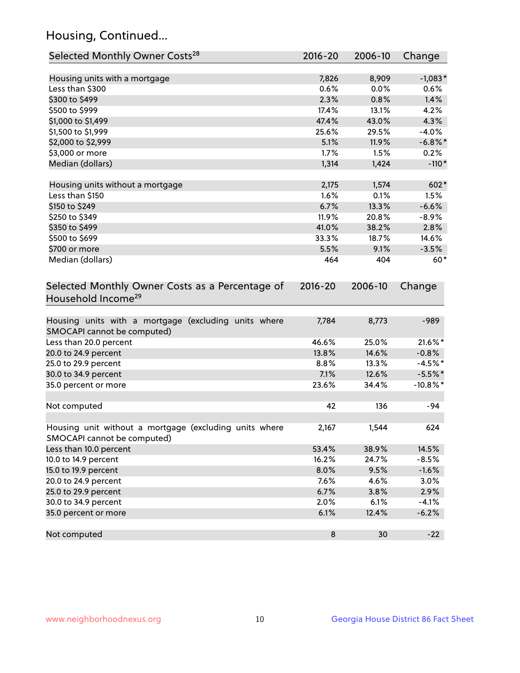## Housing, Continued...

| Selected Monthly Owner Costs <sup>28</sup>                                            | 2016-20     | 2006-10 | Change      |
|---------------------------------------------------------------------------------------|-------------|---------|-------------|
| Housing units with a mortgage                                                         | 7,826       | 8,909   | $-1,083*$   |
| Less than \$300                                                                       | 0.6%        | 0.0%    | 0.6%        |
| \$300 to \$499                                                                        | 2.3%        | 0.8%    | 1.4%        |
| \$500 to \$999                                                                        | 17.4%       | 13.1%   | 4.2%        |
| \$1,000 to \$1,499                                                                    | 47.4%       | 43.0%   | 4.3%        |
| \$1,500 to \$1,999                                                                    | 25.6%       | 29.5%   | $-4.0%$     |
| \$2,000 to \$2,999                                                                    | 5.1%        | 11.9%   | $-6.8\%$ *  |
| \$3,000 or more                                                                       | 1.7%        | 1.5%    | 0.2%        |
| Median (dollars)                                                                      | 1,314       | 1,424   | $-110*$     |
| Housing units without a mortgage                                                      | 2,175       | 1,574   | 602*        |
| Less than \$150                                                                       | 1.6%        | 0.1%    | 1.5%        |
| \$150 to \$249                                                                        | 6.7%        | 13.3%   | $-6.6%$     |
| \$250 to \$349                                                                        | 11.9%       | 20.8%   | $-8.9%$     |
| \$350 to \$499                                                                        | 41.0%       | 38.2%   | 2.8%        |
| \$500 to \$699                                                                        | 33.3%       | 18.7%   | 14.6%       |
| \$700 or more                                                                         | 5.5%        | 9.1%    | $-3.5%$     |
| Median (dollars)                                                                      | 464         | 404     | $60*$       |
| Selected Monthly Owner Costs as a Percentage of<br>Household Income <sup>29</sup>     | $2016 - 20$ | 2006-10 | Change      |
| Housing units with a mortgage (excluding units where<br>SMOCAPI cannot be computed)   | 7,784       | 8,773   | $-989$      |
| Less than 20.0 percent                                                                | 46.6%       | 25.0%   | 21.6%*      |
| 20.0 to 24.9 percent                                                                  | 13.8%       | 14.6%   | $-0.8%$     |
| 25.0 to 29.9 percent                                                                  | 8.8%        | 13.3%   | $-4.5%$ *   |
| 30.0 to 34.9 percent                                                                  | 7.1%        | 12.6%   | $-5.5%$ *   |
| 35.0 percent or more                                                                  | 23.6%       | 34.4%   | $-10.8\%$ * |
| Not computed                                                                          | 42          | 136     | $-94$       |
| Housing unit without a mortgage (excluding units where<br>SMOCAPI cannot be computed) | 2,167       | 1,544   | 624         |
| Less than 10.0 percent                                                                | 53.4%       | 38.9%   | 14.5%       |
| 10.0 to 14.9 percent                                                                  | 16.2%       | 24.7%   | $-8.5%$     |
| 15.0 to 19.9 percent                                                                  | 8.0%        | 9.5%    | $-1.6%$     |
| 20.0 to 24.9 percent                                                                  | 7.6%        | 4.6%    | 3.0%        |
| 25.0 to 29.9 percent                                                                  | 6.7%        | 3.8%    | 2.9%        |
| 30.0 to 34.9 percent                                                                  | 2.0%        | 6.1%    | $-4.1%$     |
| 35.0 percent or more                                                                  | 6.1%        | 12.4%   | $-6.2%$     |
| Not computed                                                                          | $\bf 8$     | 30      | $-22$       |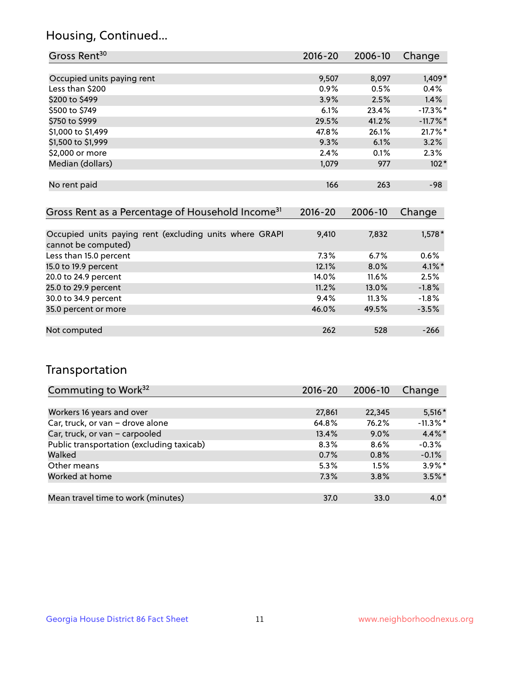## Housing, Continued...

| Gross Rent <sup>30</sup>   | 2016-20 | 2006-10 | Change      |
|----------------------------|---------|---------|-------------|
|                            |         |         |             |
| Occupied units paying rent | 9,507   | 8,097   | 1,409*      |
| Less than \$200            | 0.9%    | 0.5%    | 0.4%        |
| \$200 to \$499             | 3.9%    | 2.5%    | 1.4%        |
| \$500 to \$749             | 6.1%    | 23.4%   | $-17.3\%$ * |
| \$750 to \$999             | 29.5%   | 41.2%   | $-11.7\%$ * |
| \$1,000 to \$1,499         | 47.8%   | 26.1%   | $21.7\%$ *  |
| \$1,500 to \$1,999         | 9.3%    | 6.1%    | 3.2%        |
| \$2,000 or more            | 2.4%    | 0.1%    | 2.3%        |
| Median (dollars)           | 1,079   | 977     | $102*$      |
|                            |         |         |             |
| No rent paid               | 166     | 263     | -98         |
|                            |         |         |             |

| Gross Rent as a Percentage of Household Income <sup>31</sup>                   | $2016 - 20$ | 2006-10 | Change    |
|--------------------------------------------------------------------------------|-------------|---------|-----------|
|                                                                                |             |         |           |
| Occupied units paying rent (excluding units where GRAPI<br>cannot be computed) | 9,410       | 7,832   | $1,578*$  |
| Less than 15.0 percent                                                         | 7.3%        | 6.7%    | $0.6\%$   |
| 15.0 to 19.9 percent                                                           | 12.1%       | 8.0%    | $4.1\%$ * |
| 20.0 to 24.9 percent                                                           | 14.0%       | 11.6%   | 2.5%      |
| 25.0 to 29.9 percent                                                           | 11.2%       | 13.0%   | $-1.8%$   |
| 30.0 to 34.9 percent                                                           | 9.4%        | 11.3%   | $-1.8%$   |
| 35.0 percent or more                                                           | 46.0%       | 49.5%   | $-3.5%$   |
|                                                                                |             |         |           |
| Not computed                                                                   | 262         | 528     | $-266$    |

## Transportation

| Commuting to Work <sup>32</sup>           | $2016 - 20$ | 2006-10 | Change      |
|-------------------------------------------|-------------|---------|-------------|
|                                           |             |         |             |
| Workers 16 years and over                 | 27,861      | 22,345  | $5,516*$    |
| Car, truck, or van - drove alone          | 64.8%       | 76.2%   | $-11.3\%$ * |
| Car, truck, or van - carpooled            | 13.4%       | $9.0\%$ | $4.4\%$ *   |
| Public transportation (excluding taxicab) | 8.3%        | 8.6%    | $-0.3%$     |
| Walked                                    | 0.7%        | 0.8%    | $-0.1%$     |
| Other means                               | 5.3%        | 1.5%    | $3.9\%$ *   |
| Worked at home                            | 7.3%        | 3.8%    | $3.5\%$ *   |
|                                           |             |         |             |
| Mean travel time to work (minutes)        | 37.0        | 33.0    | $4.0*$      |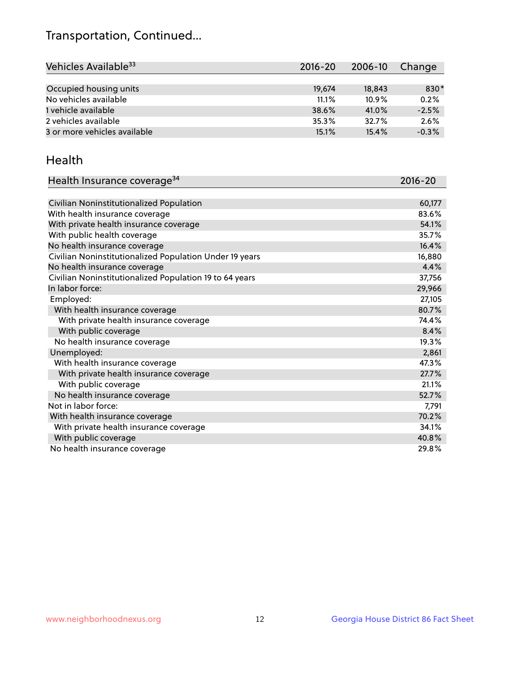## Transportation, Continued...

| Vehicles Available <sup>33</sup> | $2016 - 20$ | 2006-10  | Change  |
|----------------------------------|-------------|----------|---------|
|                                  |             |          |         |
| Occupied housing units           | 19,674      | 18,843   | 830*    |
| No vehicles available            | 11.1%       | $10.9\%$ | 0.2%    |
| 1 vehicle available              | 38.6%       | 41.0%    | $-2.5%$ |
| 2 vehicles available             | 35.3%       | 32.7%    | 2.6%    |
| 3 or more vehicles available     | 15.1%       | 15.4%    | $-0.3%$ |

#### Health

| Health Insurance coverage <sup>34</sup>                 | 2016-20 |
|---------------------------------------------------------|---------|
|                                                         |         |
| Civilian Noninstitutionalized Population                | 60,177  |
| With health insurance coverage                          | 83.6%   |
| With private health insurance coverage                  | 54.1%   |
| With public health coverage                             | 35.7%   |
| No health insurance coverage                            | 16.4%   |
| Civilian Noninstitutionalized Population Under 19 years | 16,880  |
| No health insurance coverage                            | 4.4%    |
| Civilian Noninstitutionalized Population 19 to 64 years | 37,756  |
| In labor force:                                         | 29,966  |
| Employed:                                               | 27,105  |
| With health insurance coverage                          | 80.7%   |
| With private health insurance coverage                  | 74.4%   |
| With public coverage                                    | 8.4%    |
| No health insurance coverage                            | 19.3%   |
| Unemployed:                                             | 2,861   |
| With health insurance coverage                          | 47.3%   |
| With private health insurance coverage                  | 27.7%   |
| With public coverage                                    | 21.1%   |
| No health insurance coverage                            | 52.7%   |
| Not in labor force:                                     | 7,791   |
| With health insurance coverage                          | 70.2%   |
| With private health insurance coverage                  | 34.1%   |
| With public coverage                                    | 40.8%   |
| No health insurance coverage                            | 29.8%   |